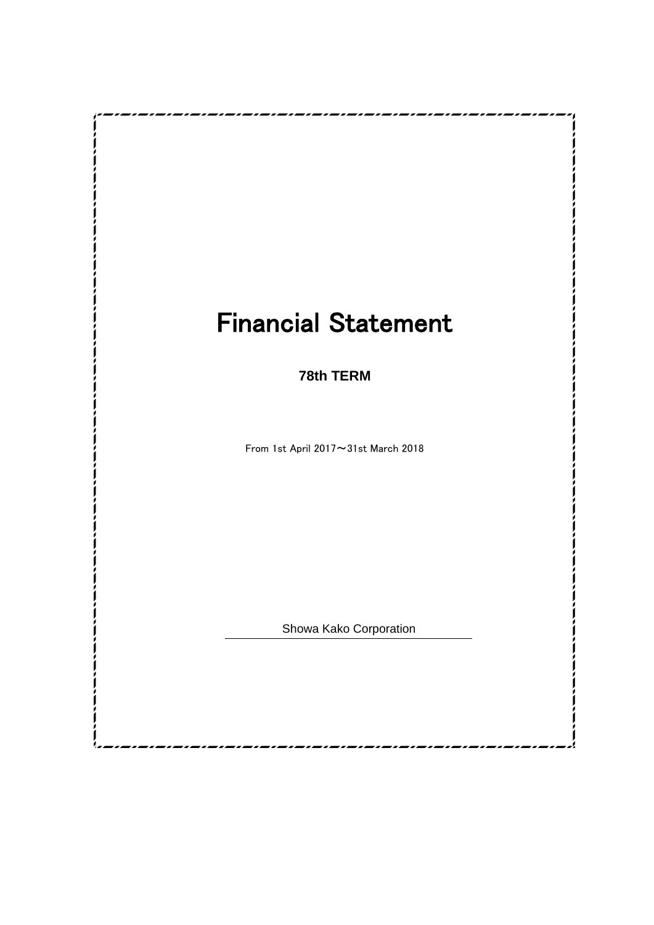# Financial Statement

**78th TERM**

From 1st April 2017~31st March 2018

Showa Kako Corporation

,,,,,,,,,,,,,,,,,,,,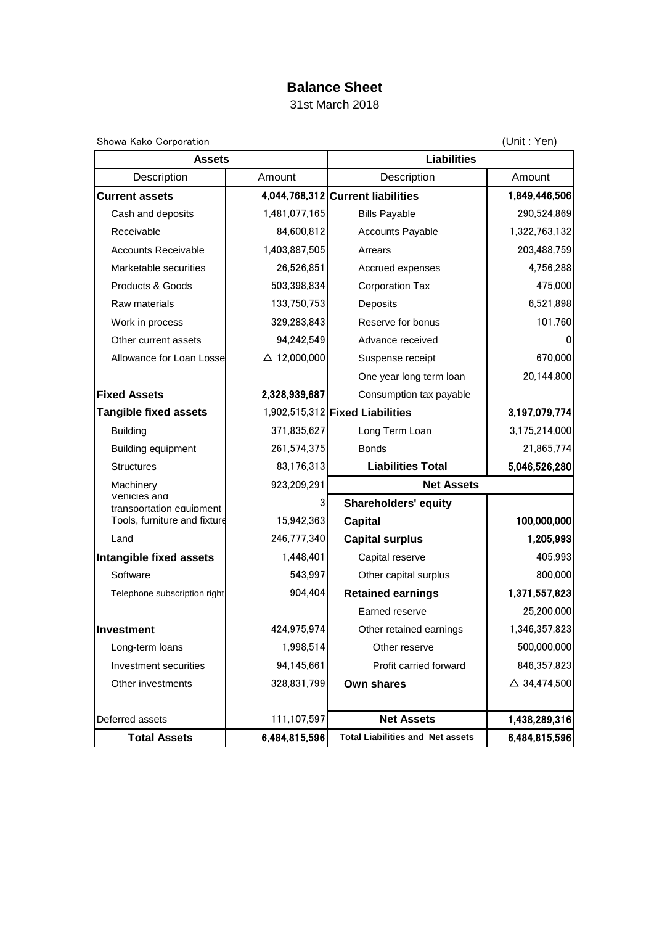## **Balance Sheet**

31st March 2018

| Showa Kako Corporation                   |                        | (Unit: Yen)                             |                         |  |  |  |
|------------------------------------------|------------------------|-----------------------------------------|-------------------------|--|--|--|
| <b>Assets</b>                            |                        | <b>Liabilities</b>                      |                         |  |  |  |
| Description                              | Amount                 | Description                             | Amount<br>1,849,446,506 |  |  |  |
| <b>Current assets</b>                    |                        | 4,044,768,312 Current liabilities       |                         |  |  |  |
| Cash and deposits                        | 1,481,077,165          | <b>Bills Payable</b>                    | 290,524,869             |  |  |  |
| Receivable                               | 84,600,812             | <b>Accounts Payable</b>                 | 1,322,763,132           |  |  |  |
| <b>Accounts Receivable</b>               | 1,403,887,505          | Arrears                                 | 203,488,759             |  |  |  |
| Marketable securities                    | 26,526,851             | Accrued expenses                        | 4,756,288               |  |  |  |
| Products & Goods                         | 503,398,834            | <b>Corporation Tax</b>                  | 475,000                 |  |  |  |
| Raw materials                            | 133,750,753            | <b>Deposits</b>                         | 6,521,898               |  |  |  |
| Work in process                          | 329,283,843            | Reserve for bonus                       | 101,760                 |  |  |  |
| Other current assets                     | 94,242,549             | Advance received                        | 0                       |  |  |  |
| Allowance for Loan Losse                 | $\triangle$ 12,000,000 | Suspense receipt                        | 670,000                 |  |  |  |
|                                          |                        | One year long term loan                 | 20,144,800              |  |  |  |
| <b>Fixed Assets</b>                      | 2,328,939,687          | Consumption tax payable                 |                         |  |  |  |
| <b>Tangible fixed assets</b>             |                        | 1,902,515,312 Fixed Liabilities         | 3,197,079,774           |  |  |  |
| <b>Building</b>                          | 371,835,627            | Long Term Loan                          | 3,175,214,000           |  |  |  |
| Building equipment                       | 261,574,375            | <b>Bonds</b>                            | 21,865,774              |  |  |  |
| <b>Structures</b>                        | 83,176,313             | <b>Liabilities Total</b>                | 5,046,526,280           |  |  |  |
| Machinery                                | 923,209,291            | <b>Net Assets</b>                       |                         |  |  |  |
| Vehicles and<br>transportation equipment | 3                      | <b>Shareholders' equity</b>             |                         |  |  |  |
| Tools, furniture and fixture             | 15,942,363             | <b>Capital</b>                          | 100,000,000             |  |  |  |
| Land                                     | 246,777,340            | <b>Capital surplus</b>                  | 1,205,993               |  |  |  |
| Intangible fixed assets                  | 1,448,401              | Capital reserve                         | 405,993                 |  |  |  |
| Software                                 | 543,997                | Other capital surplus                   | 800,000                 |  |  |  |
| Telephone subscription right             | 904,404                | <b>Retained earnings</b>                | 1,371,557,823           |  |  |  |
|                                          |                        | Earned reserve                          | 25,200,000              |  |  |  |
| <b>Investment</b>                        | 424,975,974            | Other retained earnings                 | 1,346,357,823           |  |  |  |
| Long-term loans                          | 1,998,514              | Other reserve                           | 500,000,000             |  |  |  |
| Investment securities                    | 94,145,661             | Profit carried forward                  | 846,357,823             |  |  |  |
| Other investments                        | 328,831,799            | <b>Own shares</b>                       | $\triangle$ 34,474,500  |  |  |  |
|                                          |                        |                                         |                         |  |  |  |
| Deferred assets                          | 111,107,597            | <b>Net Assets</b>                       | 1,438,289,316           |  |  |  |
| <b>Total Assets</b>                      | 6,484,815,596          | <b>Total Liabilities and Net assets</b> | 6,484,815,596           |  |  |  |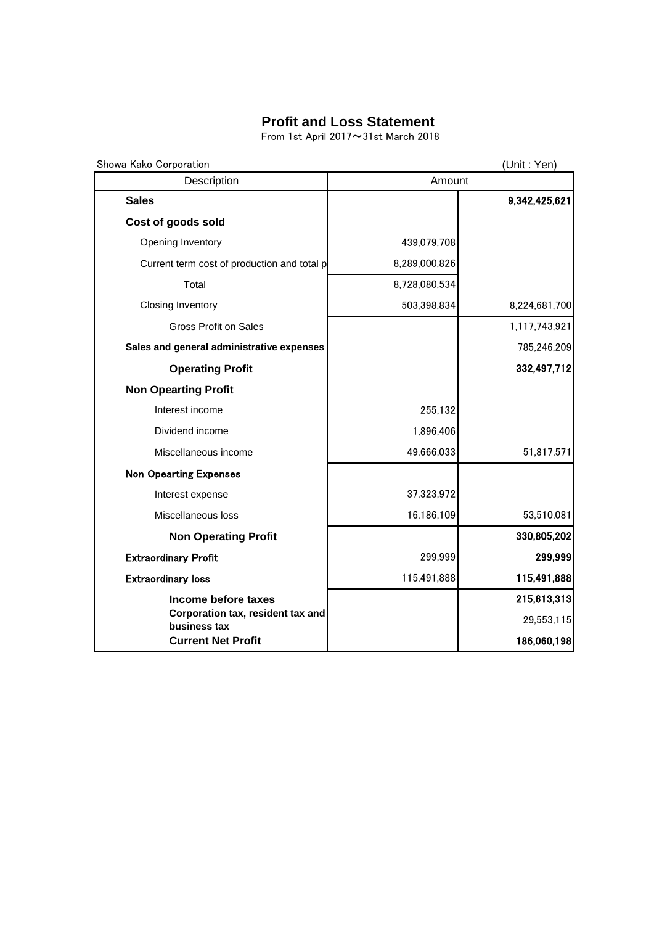### **Profit and Loss Statement**

From 1st April 2017~31st March 2018

| Showa Kako Corporation                            |               | (Unit: Yen)   |
|---------------------------------------------------|---------------|---------------|
| Description                                       | Amount        |               |
| <b>Sales</b>                                      |               | 9,342,425,621 |
| Cost of goods sold                                |               |               |
| Opening Inventory                                 | 439,079,708   |               |
| Current term cost of production and total p       | 8,289,000,826 |               |
| Total                                             | 8,728,080,534 |               |
| <b>Closing Inventory</b>                          | 503,398,834   | 8,224,681,700 |
| <b>Gross Profit on Sales</b>                      |               | 1,117,743,921 |
| Sales and general administrative expenses         |               | 785,246,209   |
| <b>Operating Profit</b>                           |               | 332,497,712   |
| <b>Non Opearting Profit</b>                       |               |               |
| Interest income                                   | 255,132       |               |
| Dividend income                                   | 1,896,406     |               |
| Miscellaneous income                              | 49,666,033    | 51,817,571    |
| <b>Non Opearting Expenses</b>                     |               |               |
| Interest expense                                  | 37,323,972    |               |
| Miscellaneous loss                                | 16,186,109    | 53,510,081    |
| <b>Non Operating Profit</b>                       |               | 330,805,202   |
| <b>Extraordinary Profit</b>                       | 299,999       | 299,999       |
| <b>Extraordinary loss</b>                         | 115,491,888   | 115,491,888   |
| Income before taxes                               |               | 215,613,313   |
| Corporation tax, resident tax and<br>business tax |               | 29,553,115    |
| <b>Current Net Profit</b>                         |               | 186,060,198   |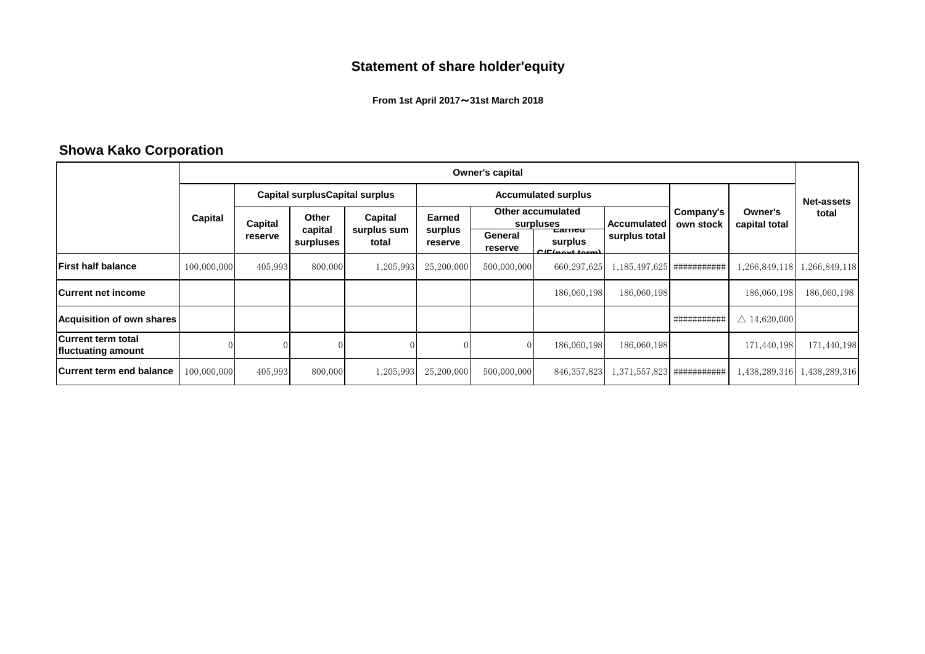## **Statement of share holder'equity**

**From 1st April 2017**~**31st March 2018**

## **Showa Kako Corporation**

|                                          | Owner's capital               |                                       |                      |                      |                                |                           |                                        |                        |                              |                        |               |
|------------------------------------------|-------------------------------|---------------------------------------|----------------------|----------------------|--------------------------------|---------------------------|----------------------------------------|------------------------|------------------------------|------------------------|---------------|
|                                          |                               | <b>Capital surplusCapital surplus</b> |                      |                      | <b>Accumulated surplus</b>     |                           |                                        |                        |                              | <b>Net-assets</b>      |               |
|                                          | Capital<br>Capital<br>reserve | Other<br>Capital                      |                      | Earned               | Other accumulated<br>surpluses |                           | Accumulated                            | Company's<br>own stock | Owner's<br>capital total     | total                  |               |
|                                          |                               |                                       | capital<br>surpluses | surplus sum<br>total | surplus<br>reserve             | General<br><b>reserve</b> | carneu<br>surplus<br>$CIE$ (nové torm) | surplus total          |                              |                        |               |
| lFirst half balance                      | 100,000,000                   | 405,993                               | 800,000              | 1,205,993            | 25,200,000                     | 500,000,000               | 660,297,625                            | 1,185,497,625          | ##########                   | 1,266,849,118          | ,266,849,118  |
| <b>Current net income</b>                |                               |                                       |                      |                      |                                |                           | 186,060,198                            | 186,060,198            |                              | 186,060,198            | 186,060,198   |
| <b>Acquisition of own shares</b>         |                               |                                       |                      |                      |                                |                           |                                        |                        | ##########                   | $\triangle$ 14,620,000 |               |
| Current term total<br>fluctuating amount |                               |                                       |                      |                      |                                |                           | 186,060,198                            | 186,060,198            |                              | 171,440,198            | 171,440,198   |
| <b>Current term end balance</b>          | 100,000,000                   | 405,993                               | 800,000              | 1,205,993            | 25,200,000                     | 500,000,000               | 846, 357, 823                          |                        | $1,371,557,823$ ############ | 1,438,289,316          | 1,438,289,316 |